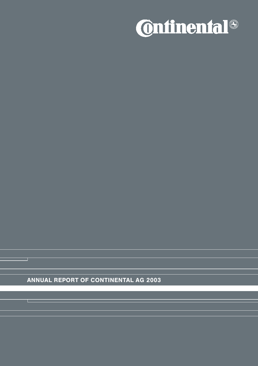

ANNUAL REPORT OF CONTINENTAL AG 2003

┱

т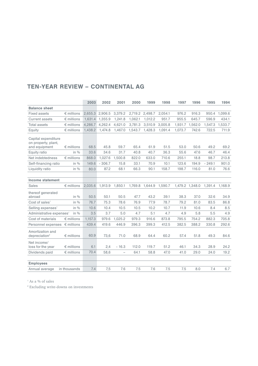|                                                             |                     | 2003    | 2002     | 2001              | 2000    | 1999    | 1998    | 1997    | 1996            | 1995     | 1994    |
|-------------------------------------------------------------|---------------------|---------|----------|-------------------|---------|---------|---------|---------|-----------------|----------|---------|
| <b>Balance sheet</b>                                        |                     |         |          |                   |         |         |         |         |                 |          |         |
| <b>Fixed assets</b>                                         | $\epsilon$ millions | 2,655.3 | 2,906.5  | 3,379.2           | 2,719.2 | 2,498.7 | 2,054.1 | 976.2   | 916.3           | 950.4    | 1.099.6 |
| Current assets                                              | $\epsilon$ millions | 1,631.4 | 1,355.9  | 1.241.8           | 1,062.1 | 1,012.2 | 951.7   | 955.5   | 645.7           | 596.9    | 434.1   |
| <b>Total assets</b>                                         | $\epsilon$ millions | 4,286.7 | 4,262.4  | 4,621.0           | 3,781.3 | 3,510.9 | 3,005.8 | 1,931.7 | 1,562.0         | 1,547.3  | 1,533.7 |
| Equity                                                      | $\epsilon$ millions | 1,438.2 | 1,474.8  | 1,467.0           | 1,543.7 | 1,428.3 | 1.091.4 | 1,073.7 | 742.6           | 722.5    | 711.9   |
| Capital expenditure<br>on property, plant,<br>and equipment | $\epsilon$ millions | 68.5    | 45.8     | 59.7              | 65.4    | 61.9    | 51.5    | 53.0    | 50.6            | 49.2     | 69.2    |
| Equity ratio                                                | in $\%$             | 33.6    | 34.6     | 31.7              | 40.8    | 40.7    | 36.3    | 55.6    | 47.6            | 46.7     | 46.4    |
| Net indebtedness                                            | $\epsilon$ millions | 868.0   | 1,027.6  | 1,500.8           | 822.0   | 633.0   | 710.6   | 255.1   | 18.8            | 98.7     | 213.8   |
| Self-financing ratio                                        | in $\%$             | 149.6   | $-306.7$ | 15.8              | 33.1    | 70.9    | 10.1    | 123.6   | 194.9           | $-249.1$ | 901.0   |
| Liquidity ratio                                             | in $\%$             | 80.0    | 87.2     | 68.1              | 66.3    | 90.1    | 158.7   | 198.7   | 116.0           | 81.0     | 76.6    |
|                                                             |                     |         |          |                   |         |         |         |         |                 |          |         |
| <b>Income statement</b>                                     |                     |         |          |                   |         |         |         |         |                 |          |         |
| Sales                                                       | $\epsilon$ millions | 2.035.6 | 1.913.9  | 1.850.1           | 1,769.8 | 1,644.9 | 1,590.7 |         | 1,479.2 1,348.0 | 1.391.4  | 1,168.9 |
| thereof generated<br>abroad                                 | in $\%$             | 50.5    | 50.1     | 50.5              | 47.7    | 43.2    | 39.1    | 38.3    | 37.0            | 32.6     | 34.9    |
| Cost of sales <sup>1</sup>                                  | in $\%$             | 76.7    | 75.3     | 78.6              | 76.9    | 77.9    | 78.7    | 79.2    | 81.0            | 83.5     | 86.8    |
| Selling expenses <sup>1</sup>                               | in $\%$             | 10.6    | 10.4     | 10.5              | 10.5    | 10.2    | 10.7    | 11.9    | 10.6            | 8.4      | 8.5     |
| Administrative expenses <sup>1</sup>                        | in $\%$             | 3.5     | 3.7      | 5.0               | 4.7     | 5.1     | 4.7     | 4.9     | 5.8             | 5.5      | 4.9     |
| Cost of materials                                           | $\epsilon$ millions | 1,157.3 | 979.6    | 1.025.2           | 979.3   | 916.6   | 873.8   | 795.5   | 754.2           | 882.3    | 705.8   |
| Personnel expenses                                          | $\epsilon$ millions | 439.4   | 419.6    | 446.9             | 396.3   | 399.3   | 412.5   | 382.5   | 388.2           | 330.8    | 292.6   |
| Amortization and<br>depreciation <sup>2</sup>               | $\epsilon$ millions | 60.9    | 73,6     | 71.0              | 68.9    | 64.4    | 60.2    | 57.4    | 51.8            | 49.3     | 84.6    |
| Net income/<br>loss for the year                            | $\epsilon$ millions | 6.1     | 2,4      | $-16.3$           | 112.0   | 119.7   | 51.2    | 46.1    | 34.3            | 28.9     | 24.2    |
| Dividends paid                                              | $\epsilon$ millions | 70.4    | 58,6     | $\qquad \qquad -$ | 64.1    | 58.8    | 47.0    | 41.0    | 29.0            | 24.0     | 19.2    |
|                                                             |                     |         |          |                   |         |         |         |         |                 |          |         |
| <b>Employees</b>                                            |                     |         |          |                   |         |         |         |         |                 |          |         |
| Annual average                                              | in thousands        | 7.4     | 7,5      | 7.6               | 7.5     | 7.6     | 7.5     | 7.5     | 8.0             | 7.4      | 6.7     |

# TEN-YEAR REVIEW – CONTINENTAL AG

 $^{\textrm{\tiny{\rm{1}}}}$  As a % of sales

 $\,^2$  Excluding write-downs on investments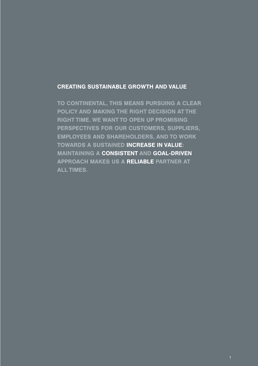### CREATING SUSTAINABLE GROWTH AND VALUE

TO CONTINENTAL, THIS MEANS PURSUING A CLEAR POLICY AND MAKING THE RIGHT DECISION AT THE RIGHT TIME. WE WANT TO OPEN UP PROMISING PERSPECTIVES FOR OUR CUSTOMERS, SUPPLIERS, EMPLOYEES AND SHAREHOLDERS, AND TO WORK TOWARDS A SUSTAINED INCREASE IN VALUE: MAINTAINING A CONSISTENT AND GOAL-DRIVEN APPROACH MAKES US A RELIABLE PARTNER AT ALL TIMES.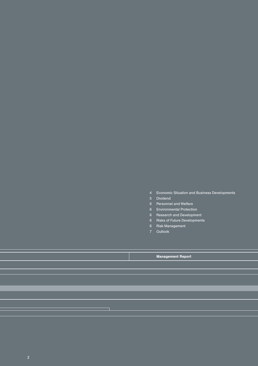- Economic Situation and Business Developments 4
- Dividend 5
- 6 Personnel and Welfare
- Environmental Protection 6
- 6 Research and Development
- 6 Risks of Future Developments
- 6 Risk Management
- Outlook 7

Management Report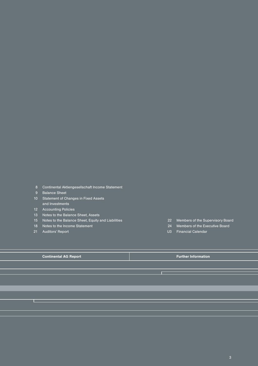Continental Aktiengesellschaft Income Statement 8

- 9 Balance Sheet
- 10 Statement of Changes in Fixed Assets and Investments
- Accounting Policies 12
- 13 Notes to the Balance Sheet, Assets
- Notes to the Balance Sheet, Equity and Liabilities 15
- 18 Notes to the Income Statement
- Auditors' Report 21

**The College** 

- Members of the Supervisory Board 22
- Members of the Executive Board 24
- U3 Financial Calendar

**Continental AG Report Further Information**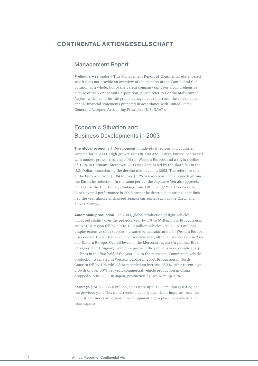### CONTINENTAL AKTIENGESELL SCHAFT

### Management Report

Preliminary remarks | This Management Report of Continental Aktiengesellschaft does not provide an overview of the position of the Continental Corporation as a whole, but of the parent company only. For a comprehensive picture of the Continental Corporation, please refer to Continental's Annual Report, which contains the group management report and the consolidated annual financial statements prepared in accordance with United States Generally Accepted Accounting Principles (U.S. GAAP).

## Economic Situation and Business Developments in 2003

The global economy | Development in individual regions and countries varied a lot in 2003. High growth rates in Asia and Eastern Europe contrasted with modest growth (less than 1%) in Western Europe, and a slight decline of 0.1 % in Germany. Moreover, 2003 was dominated by the sharp fall in the U.S. Dollar, exacerbating the decline that began in 2002. The reference rate of the Euro rose from \$1.04 to over \$1.25 year-on-year – an all-time high since the Euro's introduction. In the same period, the Japanese Yen also appreciated against the U.S. Dollar, climbing from 118.5 to 107 Yen. However, the Euro's overall performance in 2003 cannot be described as strong, as it finished the year almost unchanged against currencies such as the Czech and Slovak Koruny.

Automobile production | In 2003, global production of light vehicles increased slightly over the previous year by 1 % to 57.8 million. Production in the NAFTA region fell by 3 % to 15.9 million vehicles (2002: 16.4 million), despite extensive sales support measures by manufacturers. In Western Europe, it was down 1 % for the second consecutive year, although it increased in Asia and Eastern Europe. Overall levels in the Mercosur region (Argentina, Brazil, Paraguay, and Uruguay) were on a par with the previous year, despite sharp declines in the first half of the year due to the recession. Commercial vehicle production stagnated in Western Europe in 2003. Production in North America fell by 1%, while Asia recorded an increase of 2%. After recent high growth of over 30 % per year, commercial vehicle production in China dropped 9% in 2003. In Japan, production figures were up 21%.

**Earnings** | At € 2,035.6 million, sales were up € 121.7 million (+6.4%) on the previous year. This trend received equally significant impulses from the domestic business at both original equipment and replacement levels, and from exports.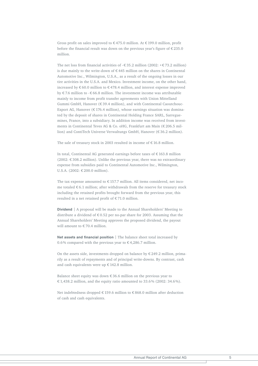Gross profit on sales improved to  $\epsilon$  475.0 million. At  $\epsilon$  199.0 million, profit before the financial result was down on the previous year's figure of € 235.0 million.

The net loss from financial activities of  $-\epsilon$  35.2 million (2002:  $+\epsilon$  73.2 million) is due mainly to the write-down of  $\epsilon$  445 million on the shares in Continental Automotive Inc., Wilmington, U.S.A., as a result of the ongoing losses in our tire activities in the U.S.A. and Mexico. Investment income, on the other hand, increased by € 60.0 million to € 478.4 million, and interest expense improved by  $\epsilon$  7.6 million to  $-\epsilon$  66.8 million. The investment income was attributable mainly to income from profit transfer agreements with Union Mittelland Gummi GmbH, Hanover (€ 39.4 million), and with Continental Caoutchouc-Export AG, Hanover ( $\epsilon$  176.4 million), whose earnings situation was dominated by the deposit of shares in Continental Holding France SARL, Sarreguemines, France, into a subsidiary. In addition income was received from investments in Continental Teves AG & Co. oHG, Frankfurt am Main (€ 206.5 million) and ContiTech Universe Verwaltungs GmbH, Hanover (€ 36.2 million).

The sale of treasury stock in 2003 resulted in income of  $\epsilon$  16.8 million.

In total, Continental AG generated earnings before taxes of € 163.8 million (2002: € 308.2 million). Unlike the previous year, there was no extraordinary expense from subsidies paid to Continental Automotive Inc., Wilmington, U.S.A. (2002: € 200.0 million).

The tax expense amounted to  $\epsilon$  157.7 million. All items considered, net income totaled € 6.1 million; after withdrawals from the reserve for treasury stock including the retained profits brought forward from the previous year, this resulted in a net retained profit of € 71.0 million.

Dividend | A proposal will be made to the Annual Shareholders' Meeting to distribute a dividend of  $\epsilon$  0.52 per no-par share for 2003. Assuming that the Annual Shareholders' Meeting approves the proposed dividend, the payout will amount to € 70.4 million.

Net assets and financial position | The balance sheet total increased by 0.6% compared with the previous year to  $\epsilon$  4,286.7 million.

On the assets side, investments dropped on balance by  $\epsilon$  249.2 million, primarily as a result of repayments and of principal write-downs. By contrast, cash and cash equivalents were up € 142.8 million.

Balance sheet equity was down  $\epsilon$  36.6 million on the previous year to € 1,438.2 million, and the equity ratio amounted to 33.6% (2002: 34.6%).

Net indebtedness dropped € 159.6 million to € 868.0 million after deduction of cash and cash equivalents.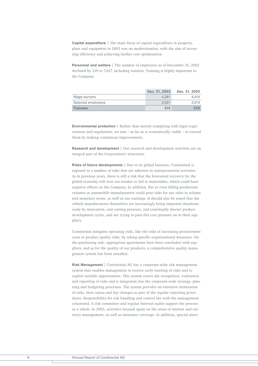Capital expenditure | The main focus of capital expenditure in property, plant and equipment in 2003 was on modernization, with the aim of increasing efficiency and achieving further cost optimization.

**Personnel and welfare** | The number of employees as of December 31, 2003 declined by 139 to 7,617, including trainees. Training is highly important to the Company.

|                    | Dec. 31, 2003 | Dec. 31, 2002 |
|--------------------|---------------|---------------|
| Wage earners       | 4.281         | 4.414         |
| Salaried employees | 3.021         | 3.014         |
| <b>Trainees</b>    | 315           | 328           |

Environmental protection | Rather than merely complying with legal requirements and regulations, we aim – as far as is economically viable – to exceed them by making continuous improvements.

Research and development | Our research and development activities are an integral part of the Corporation's structures.

Risks of future developments | Due to its global business, Continental is exposed to a number of risks that are inherent in entrepreneurial activities. As in previous years, there is still a risk that the forecasted recovery for the global economy will turn out weaker or fail to materialize, which could have negative effects on the Company. In addition, flat or even falling production volumes at automobile manufacturers could pose risks for our sales in volume and monetary terms, as well as our earnings. It should also be noted that the vehicle manufacturers themselves are increasingly being impacted simultaneously by innovation, cost-cutting pressure, and continually shorter product development cycles, and are trying to pass this cost pressure on to their suppliers.

Continental mitigates operating risks, like the risks of increasing procurement costs or product quality risks, by taking specific organizational measures. On the purchasing side, appropriate agreements have been concluded with suppliers, and as for the quality of our products, a comprehensive quality management system has been installed.

Risk Management | Continental AG has a corporate-wide risk management system that enables management to receive early warning of risks and to exploit suitable opportunities. This system covers the recognition, evaluation and reporting of risks and is integrated into the corporate-wide strategy, planning and budgeting processes. The system provides an extensive itemization of risks, their status and key changes as part of the regular reporting procedures. Responsibility for risk handling and control lies with the management concerned. A risk committee and regular internal audits support the process as a whole. In 2003, activities focused again on the areas of interest and currency management, as well as insurance coverage. In addition, special atten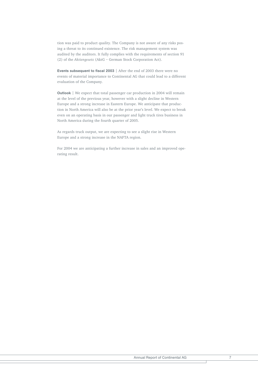tion was paid to product quality. The Company is not aware of any risks posing a threat to its continued existence. The risk management system was audited by the auditors. It fully complies with the requirements of section 91 (2) of the *Aktiengesetz* (AktG – German Stock Corporation Act).

Events subsequent to fiscal 2003 | After the end of 2003 there were no events of material importance to Continental AG that could lead to a different evaluation of the Company.

**Outlook** | We expect that total passenger car production in 2004 will remain at the level of the previous year, however with a slight decline in Western Europe and a strong increase in Eastern Europe. We anticipate that production in North America will also be at the prior year's level. We expect to break even on an operating basis in our passenger and light truck tires business in North America during the fourth quarter of 2005.

As regards truck output, we are expecting to see a slight rise in Western Europe and a strong increase in the NAFTA region.

For 2004 we are anticipating a further increase in sales and an improved operating result.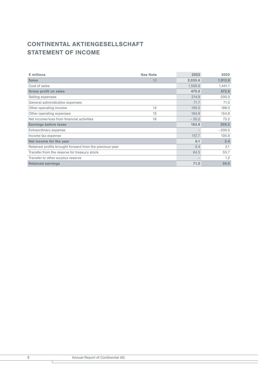# CONTINENTAL AKTIENGESELLSCHAFT STATEMENT OF INCOME

| $\epsilon$ millions                                     | <b>See Note</b> | 2003    | 2002     |
|---------------------------------------------------------|-----------------|---------|----------|
| <b>Sales</b>                                            | 13              | 2,035.6 | 1,913.9  |
| Cost of sales                                           |                 | 1,560.6 | 1,441.1  |
| <b>Gross profit on sales</b>                            |                 | 475.0   | 472.8    |
| Selling expenses                                        |                 | 214.9   | 200.0    |
| General administrative expenses                         |                 | 71.7    | 71.0     |
| Other operating income                                  | 14              | 195.5   | 188.0    |
| Other operating expenses                                | 15              | 184.9   | 154.8    |
| Net income/loss from financial activities               | 16              | $-35.2$ | 73.2     |
| <b>Earnings before taxes</b>                            |                 | 163.8   | 308.2    |
| Extraordinary expense                                   |                 |         | $-200.0$ |
| Income tax expense                                      |                 | 157.7   | 105.8    |
| Net income for the year                                 |                 | 6.1     | 2.4      |
| Retained profits brought forward from the previous year |                 | 0.4     | 2.1      |
| Transfer from the reserve for treasury stock            |                 | 64.5    | 55.7     |
| Transfer to other surplus reserve                       |                 |         | 1.2      |
| <b>Retained earnings</b>                                |                 | 71.0    | 59.0     |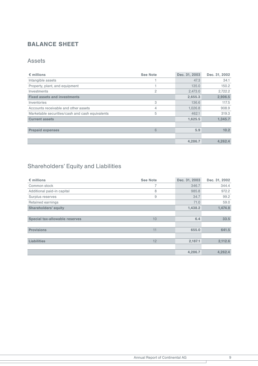# BALANCE SHEET

## Assets

| $\epsilon$ millions                             | <b>See Note</b> | Dec. 31, 2003 | Dec. 31, 2002 |
|-------------------------------------------------|-----------------|---------------|---------------|
| Intangible assets                               |                 | 47.3          | 34.1          |
| Property, plant, and equipment                  |                 | 135.0         | 150.2         |
| Investments                                     | 2               | 2,473.0       | 2,722.2       |
| <b>Fixed assets and investments</b>             |                 | 2,655.3       | 2,906.5       |
| Inventories                                     | 3               | 136.6         | 117.5         |
| Accounts receivable and other assets            | 4               | 1,026.8       | 908.9         |
| Marketable securities/cash and cash equivalents | 5               | 462.1         | 319.3         |
| <b>Current assets</b>                           |                 | 1,625.5       | 1,345.7       |
|                                                 |                 |               |               |
| <b>Prepaid expenses</b>                         | 6               | 5.9           | 10.2          |
|                                                 |                 |               |               |
|                                                 |                 | 4,286.7       | 4.262.4       |

# Shareholders' Equity and Liabilities

| $\epsilon$ millions                   | <b>See Note</b> | Dec. 31, 2003 | Dec. 31, 2002 |
|---------------------------------------|-----------------|---------------|---------------|
| Common stock                          | 7               | 346.7         | 344.4         |
| Additional paid-in capital            | 8               | 985.8         | 972.2         |
| Surplus reserves                      | 9               | 34.7          | 99.2          |
| Retained earnings                     |                 | 71.0          | 59.0          |
| <b>Shareholders' equity</b>           |                 | 1,438.2       | 1,474.8       |
|                                       |                 |               |               |
| <b>Special tax-allowable reserves</b> | 10              | 6.4           | 33.5          |
|                                       |                 |               |               |
| <b>Provisions</b>                     | 11              | 655.0         | 641.5         |
|                                       |                 |               |               |
| <b>Liabilities</b>                    | 12              | 2,187.1       | 2,112.6       |
|                                       |                 |               |               |
|                                       |                 | 4,286.7       | 4,262.4       |

 $\top$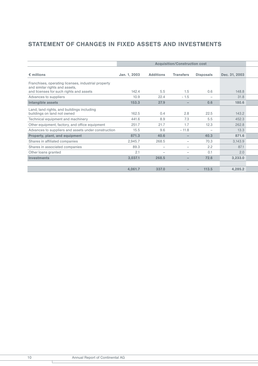# STATEMENT OF CHANGES IN FIXED ASSETS AND INVESTMENTS

|                                                                                       | <b>Acquisition/Construction cost</b> |                          |                          |                          |               |  |  |  |
|---------------------------------------------------------------------------------------|--------------------------------------|--------------------------|--------------------------|--------------------------|---------------|--|--|--|
| $\epsilon$ millions                                                                   | Jan. 1, 2003                         | <b>Additions</b>         | <b>Transfers</b>         | <b>Disposals</b>         | Dec. 31, 2003 |  |  |  |
| Franchises, operating licenses, industrial property<br>and similar rights and assets, |                                      |                          |                          |                          |               |  |  |  |
| and licenses for such rights and assets                                               | 142.4                                | 5.5                      | 1.5                      | 0.6                      | 148.8         |  |  |  |
| Advances to suppliers                                                                 | 10.9                                 | 22.4                     | $-1.5$                   | $\overline{\phantom{0}}$ | 31.8          |  |  |  |
| Intangible assets                                                                     | 153.3                                | 27.9                     | $\qquad \qquad -$        | 0.6                      | 180.6         |  |  |  |
| Land, land rights, and buildings including<br>buildings on land not owned             | 162.5                                | 0.4                      | 2.8                      | 22.5                     | 143.2         |  |  |  |
| Technical equipment and machinery                                                     | 441.6                                | 8.9                      | 7.3                      | 5.5                      | 452.3         |  |  |  |
| Other equipment, factory, and office equipment                                        | 251.7                                | 21.7                     | 1.7                      | 12.3                     | 262.8         |  |  |  |
| Advances to suppliers and assets under construction                                   | 15.5                                 | 9.6                      | $-11.8$                  | $\overline{\phantom{0}}$ | 13.3          |  |  |  |
| Property, plant, and equipment                                                        | 871.3                                | 40.6                     | $\overline{\phantom{0}}$ | 40.3                     | 871.6         |  |  |  |
| Shares in affiliated companies                                                        | 2,945.7                              | 268.5                    | $\overline{\phantom{0}}$ | 70.3                     | 3,143.9       |  |  |  |
| Shares in associated companies                                                        | 89.3                                 | $\overline{\phantom{m}}$ | $\qquad \qquad$          | 2.2                      | 87.1          |  |  |  |
| Other loans granted                                                                   | 2.1                                  |                          |                          | 0.1                      | 2.0           |  |  |  |
| <b>Investments</b>                                                                    | 3,037.1                              | 268.5                    | $\overline{\phantom{0}}$ | 72.6                     | 3,233.0       |  |  |  |
|                                                                                       |                                      |                          |                          |                          |               |  |  |  |
|                                                                                       | 4,061.7                              | 337.0                    |                          | 113.5                    | 4,285.2       |  |  |  |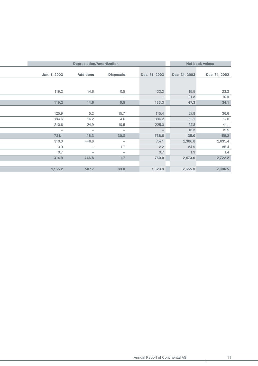|  |                          |                          | <b>Net book values</b>   |                          |               |               |
|--|--------------------------|--------------------------|--------------------------|--------------------------|---------------|---------------|
|  |                          |                          |                          |                          |               |               |
|  | Jan. 1, 2003             | <b>Additions</b>         | <b>Disposals</b>         | Dec. 31, 2003            | Dec. 31, 2003 | Dec. 31, 2002 |
|  |                          |                          |                          |                          |               |               |
|  |                          |                          |                          |                          |               |               |
|  | 119.2                    | 14.6                     | 0.5                      | 133.3                    | 15.5          | 23.2          |
|  | $\overline{\phantom{0}}$ | $\overline{\phantom{m}}$ | $\overline{\phantom{a}}$ | $\overline{\phantom{m}}$ | 31.8          | 10.9          |
|  | 119.2                    | 14.6                     | 0.5                      | 133.3                    | 47.3          | 34.1          |
|  |                          |                          |                          |                          |               |               |
|  | 125.9                    | 5.2                      | 15.7                     | 115.4                    | 27.8          | 36.6          |
|  | 384.6                    | 16.2                     | 4.6                      | 396.2                    | 56.1          | 57.0          |
|  | 210.6                    | 24.9                     | 10.5                     | 225.0                    | 37.8          | 41.1          |
|  | $\overline{\phantom{0}}$ | $\qquad \qquad -$        | $\overline{\phantom{m}}$ |                          | 13.3          | 15.5          |
|  | 721.1                    | 46.3                     | 30.8                     | 736.6                    | 135.0         | 150.2         |
|  | 310.3                    | 446.8                    | $\overline{\phantom{m}}$ | 757.1                    | 2,386.8       | 2,635.4       |
|  | 3.9                      | $\qquad \qquad -$        | 1.7                      | 2.2                      | 84.9          | 85.4          |
|  | 0.7                      | $\overline{\phantom{0}}$ | $\overline{\phantom{0}}$ | 0.7                      | 1.3           | 1.4           |
|  | 314.9                    | 446.8                    | 1.7                      | 760.0                    | 2,473.0       | 2,722.2       |
|  |                          |                          |                          |                          |               |               |
|  | 1,155.2                  | 507.7                    | 33.0                     | 1,629.9                  | 2,655.3       | 2,906.5       |
|  |                          |                          |                          |                          |               |               |

т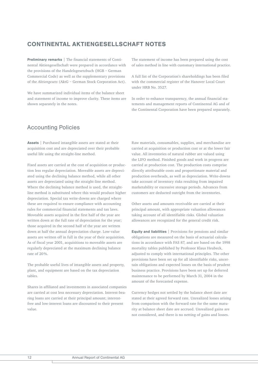## CONTINENTAL AKTIENGESELLSCHAFT NOTES

Preliminary remarks | The financial statements of Continental Aktiengesellschaft were prepared in accordance with the provisions of the Handelsgesetzbuch (HGB – German Commercial Code) as well as the supplementary provisions of the *Aktiengesetz* (AktG – German Stock Corporation Act).

We have summarized individual items of the balance sheet and statement of income to improve clarity. These items are shown separately in the notes.

### Accounting Policies

Assets | Purchased intangible assets are stated at their acquisition cost and are depreciated over their probable useful life using the straight-line method.

Fixed assets are carried at the cost of acquisition or production less regular depreciation. Moveable assets are depreciated using the declining balance method, while all other assets are depreciated using the straight-line method. Where the declining balance method is used, the straightline method is substituted where this would produce higher depreciation. Special tax write-downs are charged where these are required to ensure compliance with accounting rules for commercial financial statements and tax laws. Moveable assets acquired in the first half of the year are written down at the full rate of depreciation for the year; those acquired in the second half of the year are written down at half the annual depreciation charge. Low-value assets are written off in full in the year of their acquisition. As of fiscal year 2001, acquisitions to moveable assets are regularly depreciated at the maximum declining balance rate of 20%.

The probable useful lives of intangible assets and property, plant, and equipment are based on the tax depreciation tables.

Shares in affiliated and investments in associated companies are carried at cost less necessary depreciation. Interest-bearing loans are carried at their principal amount; interestfree and low-interest loans are discounted to their present value.

The statement of income has been prepared using the cost of sales method in line with customary international practice.

A full list of the Corporation's shareholdings has been filed with the commercial register of the Hanover Local Court under HRB No. 3527.

In order to enhance transparency, the annual financial statements and management reports of Continental AG and of the Continental Corporation have been prepared separately.

Raw materials, consumables, supplies, and merchandise are carried at acquisition or production cost or at the lower fair value. All inventories of natural rubber are valued using the LIFO method. Finished goods and work in progress are carried at production cost. The production costs comprise directly attributable costs and proportionate material and production overheads, as well as depreciation. Write-downs take account of inventory risks resulting from impaired marketability or excessive storage periods. Advances from customers are deducted outright from the inventories.

Other assets and amounts receivable are carried at their principal amount, with appropriate valuation allowances taking account of all identifiable risks. Global valuation allowances are recognized for the general credit risk.

Equity and liabilities | Provisions for pensions and similar obligations are measured on the basis of actuarial calculations in accordance with FAS 87, and are based on the 1998 mortality tables published by Professor Klaus Heubeck, adjusted to comply with international principles. The other provisions have been set up for all identifiable risks, uncertain obligations and expected losses on the basis of prudent business practice. Provisions have been set up for deferred maintenance to be performed by March 31, 2004 in the amount of the forecasted expense.

Currency hedges not settled by the balance sheet date are stated at their agreed forward rate. Unrealized losses arising from comparison with the forward rate for the same maturity at balance sheet date are accrued. Unrealized gains are not considered, and there is no netting of gains and losses.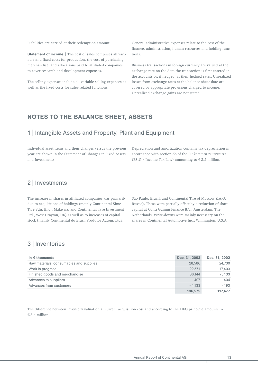Liabilities are carried at their redemption amount.

Statement of income | The cost of sales comprises all variable and fixed costs for production, the cost of purchasing merchandise, and allocations paid to affiliated companies to cover research and development expenses.

The selling expenses include all variable selling expenses as well as the fixed costs for sales-related functions.

General administrative expenses relate to the cost of the finance, administration, human resources and holding functions.

Business transactions in foreign currency are valued at the exchange rate on the date the transaction is first entered in the accounts or, if hedged, at their hedged rates. Unrealized losses from exchange rates at the balance sheet date are covered by appropriate provisions charged to income. Unrealized exchange gains are not stated.

### NOTES TO THE BALANCE SHEET, ASSETS

### 1 | Intangible Assets and Property, Plant and Equipment

Individual asset items and their changes versus the previous year are shown in the Statement of Changes in Fixed Assets and Investments.

Depreciation and amortization contains tax depreciation in accordance with section 6b of the *Einkommensteuergesetz* (EStG – Income Tax Law) amounting to  $\epsilon$  3.2 million.

### 2 | Investments

The increase in shares in affiliated companies was primarily due to acquisitions of holdings (mainly Continental Sime Tyre Sdn. Bhd., Malaysia, and Continental Tyre Investment Ltd., West Drayton, UK) as well as to increases of capital stock (mainly Continental do Brasil Produtos Autom. Ltda.,

São Paulo, Brazil, and Continental Tire of Moscow Z.A.O, Russia). These were partially offset by a reduction of share capital at Conti Gummi Finance B.V., Amsterdam, The Netherlands. Write-downs were mainly necessary on the shares in Continental Automotive Inc., Wilmington, U.S.A.

## 3 | Inventories

| in $\epsilon$ thousands                 | Dec. 31, 2003 | Dec. 31, 2002 |
|-----------------------------------------|---------------|---------------|
| Raw materials, consumables and supplies | 28,586        | 24,730        |
| Work in progress                        | 22.571        | 17.403        |
| Finished goods and merchandise          | 86.144        | 75.133        |
| Advances to suppliers                   | 407           | 404           |
| Advances from customers                 | $-1.133$      | $-193$        |
|                                         | 136,575       | 117.477       |

The difference between inventory valuation at current acquisition cost and according to the LIFO principle amounts to € 3.4 million.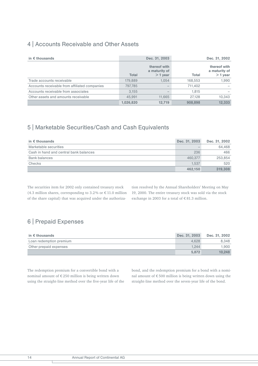## 4 | Accounts Receivable and Other Assets

| in $\epsilon$ thousands                       |              | Dec. 31, 2003                              |         | Dec. 31, 2002                              |
|-----------------------------------------------|--------------|--------------------------------------------|---------|--------------------------------------------|
|                                               | <b>Total</b> | thereof with<br>a maturity of<br>$>1$ year | Total   | thereof with<br>a maturity of<br>$>1$ year |
| Trade accounts receivable                     | 179,889      | 1.054                                      | 168,553 | 1,990                                      |
| Accounts receivable from affiliated companies | 797.785      |                                            | 711.402 |                                            |
| Accounts receivable from associates           | 3.155        |                                            | 1.815   |                                            |
| Other assets and amounts receivable           | 45.991       | 11.665                                     | 27.128  | 10,343                                     |
|                                               | 1.026.820    | 12.719                                     | 908.898 | 12.333                                     |

# 5 | Marketable Securities/Cash and Cash Equivalents

| in $\epsilon$ thousands                | Dec. 31, 2003 | Dec. 31, 2002 |
|----------------------------------------|---------------|---------------|
| Marketable securities                  |               | 64.468        |
| Cash in hand and central bank balances | 236           | 466           |
| <b>Bank balances</b>                   | 460.377       | 253,854       |
| Checks                                 | 1.537         | 520           |
|                                        | 462.150       | 319,308       |

The securities item for 2002 only contained treasury stock (4.3 million shares, corresponding to 3.2% or  $\epsilon$  11.0 million of the share capital) that was acquired under the authorization resolved by the Annual Shareholders' Meeting on May 19, 2000. The entire treasury stock was sold via the stock exchange in 2003 for a total of  $\epsilon$  81.3 million.

# 6 | Prepaid Expenses

| in $\epsilon$ thousands | Dec. 31, 2003 | Dec. 31, 2002 |
|-------------------------|---------------|---------------|
| Loan redemption premium | 4.628         | 8.348         |
| Other prepaid expenses  | 1.244         | 1.900         |
|                         | 5.872         | 10.248        |

The redemption premium for a convertible bond with a nominal amount of  $\mathfrak{C}\,250$  million is being written down using the straight-line method over the five-year life of the bond, and the redemption premium for a bond with a nominal amount of € 500 million is being written down using the straight-line method over the seven-year life of the bond.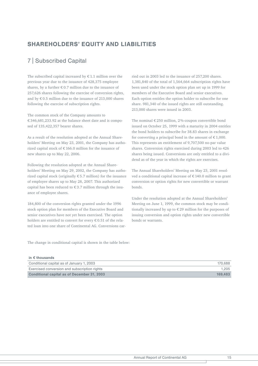## SHAREHOLDERS' EQUITY AND LIABILITIES

## 7 | Subscribed Capital

The subscribed capital increased by  $\epsilon$  1.1 million over the previous year due to the issuance of 428,375 employee shares, by a further  $\epsilon$  0.7 million due to the issuance of 257,626 shares following the exercise of conversion rights, and by € 0.5 million due to the issuance of 213,000 shares following the exercise of subscription rights.

The common stock of the Company amounts to € 346,681,233.92 at the balance sheet date and is composed of 135,422,357 bearer shares.

As a result of the resolution adopted at the Annual Shareholders' Meeting on May 23, 2001, the Company has authorized capital stock of € 166.0 million for the issuance of new shares up to May 22, 2006.

Following the resolution adopted at the Annual Shareholders' Meeting on May 29, 2002, the Company has authorized capital stock (originally  $\epsilon$  5.7 million) for the issuance of employee shares up to May 28, 2007. This authorized capital has been reduced to  $\epsilon$  3.7 million through the issuance of employee shares.

184,800 of the conversion rights granted under the 1996 stock option plan for members of the Executive Board and senior executives have not yet been exercised. The option holders are entitled to convert for every € 0.51 of the related loan into one share of Continental AG. Conversions carried out in 2003 led to the issuance of 257,200 shares. 1,381,840 of the total of 1,564,664 subscription rights have been used under the stock option plan set up in 1999 for members of the Executive Board and senior executives. Each option entitles the option holder to subscribe for one share. 981,340 of the issued rights are still outstanding. 213,000 shares were issued in 2003.

The nominal  $\epsilon$  250 million, 2%-coupon convertible bond issued on October 25, 1999 with a maturity in 2004 entitles the bond holders to subscribe for 38.83 shares in exchange for converting a principal bond in the amount of  $\epsilon$  1,000. This represents an entitlement of 9,707,500 no-par value shares. Conversion rights exercised during 2003 led to 426 shares being issued. Conversions are only entitled to a dividend as of the year in which the rights are exercises.

The Annual Shareholders' Meeting on May 23, 2001 resolved a conditional capital increase of  $\epsilon$  140.0 million to grant conversion or option rights for new convertible or warrant bonds.

Under the resolution adopted at the Annual Shareholders' Meeting on June 1, 1999, the common stock may be conditionally increased by up to € 29 million for the purposes of issuing conversion and option rights under new convertible bonds or warrants.

The change in conditional capital is shown in the table below:

#### in € thousands

| Conditional capital as of January 1, 2003          | 170.688 |
|----------------------------------------------------|---------|
| Exercised conversion and subscription rights       | 1.205   |
| <b>Conditional capital as of December 31, 2003</b> | 169.483 |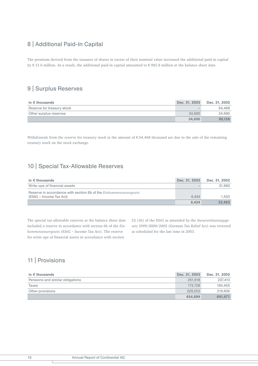# 8 | Additional Paid-In Capital

The premium derived from the issuance of shares in excess of their nominal value increased the additional paid-in capital by € 13.6 million. As a result, the additional paid-in capital amounted to € 985.8 million at the balance sheet date.

## 9 | Surplus Reserves

| in $\epsilon$ thousands    | Dec. 31, 2003 | Dec. 31, 2002 |
|----------------------------|---------------|---------------|
| Reserve for treasury stock |               | 64.468        |
| Other surplus reserves     | 34.690        | 34.690        |
|                            | 34.690        | 99.158        |

Withdrawals from the reserve for treasury stock in the amount of  $\epsilon$  64,468 thousand are due to the sale of the remaining treasury stock on the stock exchange.

# 10 | Special Tax-Allowable Reserves

| in $\epsilon$ thousands                                                                       | Dec. 31, 2003 | Dec. 31, 2002 |
|-----------------------------------------------------------------------------------------------|---------------|---------------|
| Write-ups of financial assets                                                                 |               | 31.960        |
| Reserve in accordance with section 6b of the Einkommensteuergesetz<br>(EStG – Income Tax Act) | 6.424         | 1.503         |
|                                                                                               | 6.424         | 33.463        |

The special tax-allowable reserves at the balance sheet date included a reserve in accordance with section 6b of the *Einkommensteuergesetz* (EStG – Income Tax Act). The reserve for write-ups of financial assets in accordance with section

52 (16) of the EStG as amended by the *Steuerentlastungsgesetz 1999/2000/200*2 (German Tax Relief Act) was reversed as scheduled for the last time in 2003.

# 11 | Provisions

| in $\epsilon$ thousands          | Dec. 31, 2003 | Dec. 31, 2002 |
|----------------------------------|---------------|---------------|
| Pensions and similar obligations | 251.918       | 237.410       |
| Taxes                            | 173.728       | 184.455       |
| Other provisions                 | 229,253       | 219,606       |
|                                  | 654.899       | 641.471       |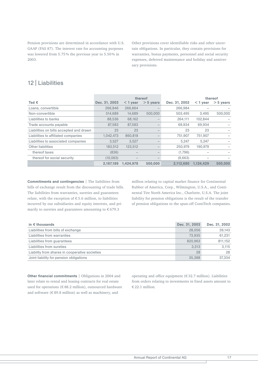Pension provisions are determined in accordance with U.S. GAAP (FAS 87). The interest rate for accounting purposes was lowered from 5.75 % the previous year to 5.50 % in 2003.

Other provisions cover identifiable risks and other uncertain obligations. In particular, they contain provisions for warranties, bonus payments, personnel and social security expenses, deferred maintenance and holiday and anniversary provisions.

## 12 | Liabilities

|                                         | thereof       |            |             |               |            | thereof     |
|-----------------------------------------|---------------|------------|-------------|---------------|------------|-------------|
| Tsd $\epsilon$                          | Dec. 31, 2003 | $<$ 1 year | $> 5$ years | Dec. 31, 2002 | $<$ 1 year | $>$ 5 years |
| Loans, convertible                      | 266,846       | 266.664    |             | 266.984       |            |             |
| Non-convertible                         | 514,689       | 14,689     | 500,000     | 503,495       | 3,495      | 500,000     |
| Liabilities to banks                    | 88.536        | 68.162     |             | 264.111       | 102.844    |             |
| Trade accounts payable                  | 87.583        | 87.583     |             | 69.934        | 69.934     |             |
| Liabilities on bills accepted and drawn | 23            | 23         |             | 23            | 23         |             |
| Liabilities to affiliated companies     | 1,042,473     | 860.818    |             | 751,907       | 751,907    |             |
| Liabilities to associated companies     | 3,527         | 3.527      |             | 5,247         | 5.247      |             |
| Other liabilities                       | 183,512       | 123,512    |             | 250,979       | 190,979    |             |
| thereof taxes                           | (836)         |            |             | (1,796)       |            |             |
| thereof for social security             | (10.063)      |            |             | (9,663)       |            |             |
|                                         | 2.187.189     | 1.424.978  | 500.000     | 2.112.680     | 1.124.429  | 500,000     |

Commitments and contingencies | The liabilities from bills of exchange result from the discounting of trade bills. The liabilities from warranties, sureties and guarantees relate, with the exception of  $\epsilon$  5.6 million, to liabilities incurred by our subsidiaries and equity interests, and primarily to sureties and guarantees amounting to  $€679.3$ 

million relating to capital market finance for Continental Rubber of America, Corp., Wilmington, U.S.A., and Continental Tire North America Inc., Charlotte, U.S.A. The joint liability for pension obligations is the result of the transfer of pension obligations to the spun-off ContiTech companies.

| in $\epsilon$ thousands                        | Dec. 31, 2003 | Dec. 31, 2002 |
|------------------------------------------------|---------------|---------------|
| Liabilities from bills of exchange             | 28,056        | 39.143        |
| Liabilities from warranties                    | 73.935        | 61.231        |
| Liabilities from guarantees                    | 820,963       | 811.152       |
| Liabilities from sureties                      | 3.313         | 3.115         |
| Liability from shares in cooperative societies | 28            | 28            |
| Joint liability for pension obligations        | 35,388        | 37.334        |

Other financial commitments | Obligations in 2004 and later relate to rental and leasing contracts for real estate used for operations (€ 88.2 million), outsourced hardware and software (€ 89.8 million) as well as machinery, and

operating and office equipment (€ 32.7 million). Liabilities from orders relating to investments in fixed assets amount to € 22.1 million.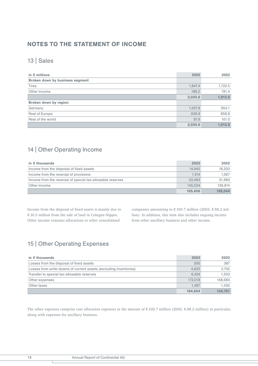## NOTES TO THE STATEMENT OF INCOME

# 13 | Sales

| in $\epsilon$ millions          | 2003    | 2002    |
|---------------------------------|---------|---------|
| Broken down by business segment |         |         |
| <b>Tires</b>                    | 1,847.4 | 1,722.5 |
| Other income                    | 188.2   | 191.4   |
|                                 | 2,035.6 | 1,913.9 |
| Broken down by region           |         |         |
| Germany                         | 1,007.8 | 954.1   |
| Rest of Europe                  | 939.9   | 858.8   |
| Rest of the world               | 87.9    | 101.0   |
|                                 | 2,035.6 | 1.913.9 |

# 14 | Other Operating Income

| in $\epsilon$ thousands                                    | 2003    | 2002    |
|------------------------------------------------------------|---------|---------|
| Income from the disposal of fixed assets                   | 14.945  | 18.203  |
| Income from the reversal of provisions                     | 1.514   | 1.067   |
| Income from the reversal of special tax-allowable reserves | 33.463  | 31.960  |
| Other income                                               | 145.534 | 136.814 |
|                                                            | 195.456 | 188.044 |

Income from the disposal of fixed assets is mainly due to € 10.5 million from the sale of land in Cologne-Nippes. Other income contains allocations to other consolidated

companies amounting to € 100.7 million (2002: € 88.2 million). In addition, this item also includes ongoing income from other ancillary business and other income.

# 15 | Other Operating Expenses

| in $\epsilon$ thousands                                           | 2003    | 2002    |
|-------------------------------------------------------------------|---------|---------|
| Losses from the disposal of fixed assets                          | 300     | 387     |
| Losses from write-downs of current assets (excluding inventories) | 4.625   | 2.752   |
| Transfer to special tax-allowable reserves                        | 6.424   | 1.503   |
| Other expenses                                                    | 172.018 | 148.684 |
| Other taxes                                                       | 1.487   | 1.435   |
|                                                                   | 184.854 | 154.761 |

The other expenses comprise cost allocation expenses in the amount of € 100.7 million (2002: € 88.2 million) in particular, along with expenses for ancillary business.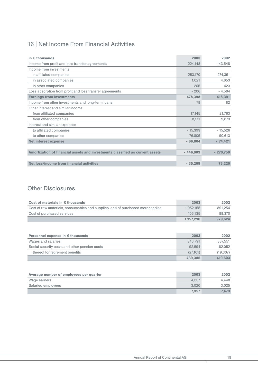# 16 | Net Income From Financial Activities

| in $\epsilon$ thousands                                                       | 2003       | 2002       |
|-------------------------------------------------------------------------------|------------|------------|
| Income from profit and loss transfer agreements                               | 224,148    | 143,548    |
| Income from investments                                                       |            |            |
| in affiliated companies                                                       | 253,170    | 274,351    |
| in associated companies                                                       | 1,021      | 4,653      |
| in other companies                                                            | 265        | 423        |
| Loss absorption from profit and loss transfer agreements                      | $-206$     | $-4,584$   |
| <b>Earnings from investments</b>                                              | 478,398    | 418,391    |
| Income from other investments and long-term loans                             | 78         | 82         |
| Other interest and similar income                                             |            |            |
| from affiliated companies                                                     | 17,145     | 21,763     |
| from other companies                                                          | 8,171      | 9,873      |
| Interest and similar expenses                                                 |            |            |
| to affiliated companies                                                       | $-15,393$  | $-15,526$  |
| to other companies                                                            | $-76,805$  | $-90,613$  |
| <b>Net interest expense</b>                                                   | $-66,804$  | $-74,421$  |
|                                                                               |            |            |
| Amortization of financial assets and investments classified as current assets | $-446.803$ | $-270,750$ |
|                                                                               |            |            |
| Net loss/income from financial activities                                     | $-35,209$  | 73,220     |

# Other Disclosures

| Cost of materials in $\epsilon$ thousands                                     | 2003      | 2002    |
|-------------------------------------------------------------------------------|-----------|---------|
| Cost of raw materials, consumables and supplies, and of purchased merchandise | 1.052.155 | 891.254 |
| Cost of purchased services                                                    | 105.135   | 88,370  |
|                                                                               | 1.157.290 | 979.624 |

| Personnel expense in $\epsilon$ thousands     | 2003     | 2002     |
|-----------------------------------------------|----------|----------|
| Wages and salaries                            | 346.791  | 337.551  |
| Social security costs and other pension costs | 92.594   | 82.052   |
| thereof for retirement benefits               | (27.101) | (19.307) |
|                                               | 439.385  | 419.603  |

| Average number of employees per quarter | 2003  | 2002  |
|-----------------------------------------|-------|-------|
| Wage earners                            | 4.337 | 4.448 |
| Salaried employees                      | 3.020 | 3.025 |
|                                         | 7.357 | 7.473 |

T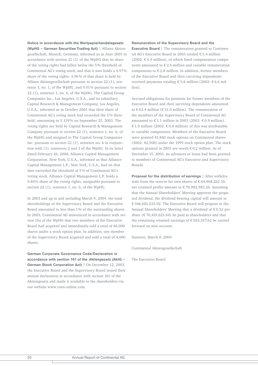Notice in accordance with the Wertpapierhandelsgesetz (WpHG – German Securities Trading Act) | Allianz Aktiengesellschaft, Munich, Germany, informed us in June 2003 in accordance with section 21 (1) of the WpHG that its share of the voting rights had fallen below the 5 % threshold of Continental AG's voting stock, and that it now holds a 4.97% share of the voting rights. 4.96% of that share is held by Allianz Aktiengesellschaft pursuant to section 22 (1), sentence 1, no. 1, of the WpHG, and 0.01 % pursuant to section 22 (1), sentence 1, no. 6, of the WpHG. The Capital Group Companies Inc., Los Angeles, U.S.A., and its subsidiary Capital Research & Management Company, Los Angeles, U.S.A., informed us in October 2003 that their share of Continental AG's voting stock had exceeded the 5 % threshold, amounting to 5.139 % on September 25, 2003. The voting rights are held by Capital Research & Management Company pursuant to section 22 (1), sentence 1, no. 6, of the WpHG and assigned to The Capital Group Companies Inc. pursuant to section 22 (1), sentence no. 6 in conjunction with (1), sentences 2 and 3 of the WpHG. In its letter dated February 26, 2004, Alliance Capital Management Corporation, New York, U.S.A., informed us that Alliance Capital Management L.P., New York, U.S.A., had on that date exceeded the threshold of 5 % of Continental AG's voting stock. Alliance Capital Management L.P. holds a 9.84% share of the voting rights, assignable pursuant to section 22 (1), sentence 1, no. 6, of the WpHG.

In 2003 and up to and including March 9, 2004, the total shareholdings of the Supervisory Board and the Executive Board amounted to less than 1% of the outstanding shares. In 2003, Continental AG announced in accordance with section 15a of the WpHG that two members of the Executive Board had acquired and immediately sold a total of 66,000 shares under a stock option plan. In addition, one member of the Supervisory Board acquired and sold a total of 4,000 shares.

German Corporate Governance Code/Declaration in accordance with section 161 of the *Aktiengesetz* (AktG – German Stock Corporation Act) | On December 12, 2003, the Executive Board and the Supervisory Board issued their annual declaration in accordance with section 161 of the Aktiengesetz and made it available to the shareholders via our website www.conti-online.com.

#### Remuneration of the Supervisory Board and the

**Executive Board** The remuneration granted to Continental AG's Executive Board in 2003 totaled € 5.4 million (2002: € 5.4 million), of which fixed compensation components amounted to € 2.6 million and variable remuneration components to  $\epsilon$  2.8 million. In addition, former members of the Executive Board and their surviving dependents received payments totaling € 3.8 million (2002: € 6.6 million).

Accrued obligations for pensions for former members of the Executive Board and their surviving dependents amounted to € 63.4 million (€ 51.0 million). The remuneration of the members of the Supervisory Board of Continental AG amounted to  $\in$  1.1 million in 2003 (2002:  $\in$  0.9 million). € 1.0 million (2002: € 0.8 million) of this was attributable to variable components. Members of the Executive Board were granted 41,840 stock options on Continental shares (2002: 82,500) under the 1999 stock option plan. The stock options granted in 2003 are worth € 0.2 million. As of December 31, 2003, no advances or loans had been granted to members of Continental AG's Executive and Supervisory Boards.

Proposal for the distribution of earnings | After withdrawals from the reserve for own shares of  $\epsilon$  64,468,262.10, net retained profits amount to € 70,982,983.26. Assuming that the Annual Shareholders' Meeting approves the proposed dividend, the dividend-bearing capital will amount to € 346,681,233.92. The Executive Board will propose to the Annual Shareholders' Meeting that a dividend of € 0.52 per share ( $\epsilon$  70,419,625.64) be paid to shareholders and that the remaining retained earnings of € 563,357.62 be carried forward on new account.

Hanover, March 9, 2004

Continental Aktiengesellschaft

The Executive Board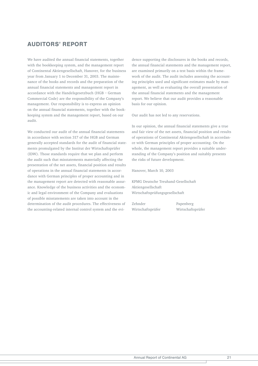## AUDITORS' REPORT

We have audited the annual financial statements, together with the bookkeeping system, and the management report of Continental Aktiengesellschaft, Hanover, for the business year from January 1 to December 31, 2003. The maintenance of the books and records and the preparation of the annual financial statements and management report in accordance with the Handelsgesetzbuch (HGB – German Commercial Code) are the responsibility of the Company's management. Our responsibility is to express an opinion on the annual financial statements, together with the bookkeeping system and the management report, based on our audit.

We conducted our audit of the annual financial statements in accordance with section 317 of the HGB and German generally accepted standards for the audit of financial statements promulgated by the Institut der Wirtschaftsprüfer (IDW). Those standards require that we plan and perform the audit such that misstatements materially affecting the presentation of the net assets, financial position and results of operations in the annual financial statements in accordance with German principles of proper accounting and in the management report are detected with reasonable assurance. Knowledge of the business activities and the economic and legal environment of the Company and evaluations of possible misstatements are taken into account in the determination of the audit procedures. The effectiveness of the accounting-related internal control system and the evidence supporting the disclosures in the books and records, the annual financial statements and the management report, are examined primarily on a test basis within the framework of the audit. The audit includes assessing the accounting principles used and significant estimates made by management, as well as evaluating the overall presentation of the annual financial statements and the management report. We believe that our audit provides a reasonable basis for our opinion.

Our audit has not led to any reservations.

In our opinion, the annual financial statements give a true and fair view of the net assets, financial position and results of operations of Continental Aktiengesellschaft in accordance with German principles of proper accounting. On the whole, the management report provides a suitable understanding of the Company's position and suitably presents the risks of future development.

Hanover, March 10, 2003

KPMG Deutsche Treuhand-Gesellschaft Aktiengesellschaft Wirtschaftsprüfungsgesellschaft

Zehnder Papenberg Wirtschaftsprüfer Wirtschaftsprüfer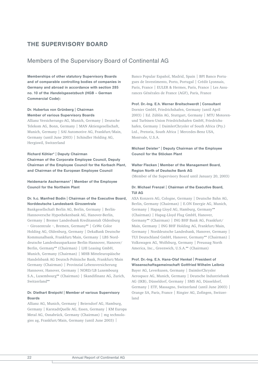## THE SUPERVISORY BOARD

### Members of the Supervisory Board of Continental AG

Memberships of other statutory Supervisory Boards and of comparable controlling bodies of companies in Germany and abroad in accordance with section 285 no. 10 of the *Handelsgesetzbuch* (HGB – German Commercial Code):

### Dr. Hubertus von Grünberg | Chairman Member of various Supervisory Boards

Allianz Versicherungs-AG, Munich, Germany | Deutsche Telekom AG, Bonn, Germany | MAN Aktiengesellschaft, Munich, Germany | SAI Automotive AG, Frankfurt/Main, Germany (until June 2003) | Schindler Holding AG, Hergiswil, Switzerland

#### Richard Köhler\* | Deputy Chairman

Chairman of the Corporate Employee Council, Deputy Chairman of the Employee Council for the Korbach Plant, and Chairman of the European Employee Council

Heidemarie Aschermann\* | Member of the Employee Council for the Northeim Plant

### Dr. h.c. Manfred Bodin | Chairman of the Executive Board, Norddeutsche Landesbank Girozentrale

Bankgesellschaft Berlin AG, Berlin, Germany | Berlin-Hannoversche Hypothekenbank AG, Hanover-Berlin, Germany | Bremer Landesbank Kreditanstalt Oldenburg – Girozentrale –, Bremen, Germany\*\* | CeWe Color Holding AG, Oldenburg, Germany | DekaBank Deutsche Kommunalbank, Frankfurt/Main, Germany | LBS Norddeutsche Landesbausparkasse Berlin-Hannover, Hanover/ Berlin, Germany\*\* (Chairman) | LHI Leasing GmbH, Munich, Germany (Chairman) | MHB Mitteleuropäische Handelsbank AG Deutsch-Polnische Bank, Frankfurt/Main Germany (Chairman) | Provinzial Lebensversicherung Hannover, Hanover, Germany | NORD/LB Luxembourg S.A., Luxembourg\*\* (Chairman) | Skandifinanz AG, Zurich, Switzerland\*\*

### Dr. Diethart Breipohl | Member of various Supervisory Boards

Allianz AG, Munich, Germany | Beiersdorf AG, Hamburg, Germany | KarstadtQuelle AG, Essen, Germany | KM Europa Metal AG, Osnabrück, Germany (Chairman) | mg technologies ag, Frankfurt/Main, Germany (until June 2003) |

Banco Popular Español, Madrid, Spain | BPI Banco Portugues de Investimento, Porto, Portugal | Crédit Lyonnais, Paris, France | EULER & Hermes, Paris, France | Les Assurances Générales de France (AGF), Paris, France

#### Prof. Dr.-Ing. E.h. Werner Breitschwerdt | Consultant

Dornier GmbH, Friedrichshafen, Germany (until April 2003) | Ed. Züblin AG, Stuttgart, Germany | MTU Motorenund Turbinen-Union Friedrichshafen GmbH, Friedrichshafen, Germany | DaimlerChrysler of South Africa (Pty.) Ltd., Pretoria, South Africa | Mercedes-Benz USA, Montvale, U.S.A.

Michael Deister\* | Deputy Chairman of the Employee Council for the Stöcken Plant

### Walter Flecken | Member of the Management Board, Region North of Deutsche Bank AG

(Member of the Supervisory Board until January 20, 2003)

### Dr. Michael Frenzel | Chairman of the Executive Board, TUI AG

AXA Konzern AG, Cologne, Germany | Deutsche Bahn AG, Berlin, Germany (Chairman) | E.ON Energie AG, Munich, Germany | Hapag-Lloyd AG, Hamburg, Germany\*\* (Chairman) | Hapag-Lloyd Flug GmbH, Hanover, Germany\*\* (Chairman) | ING BHF Bank AG, Frankfurt/ Main, Germany | ING BHF Holding AG, Frankfurt/Main, Germany | Norddeutsche Landesbank, Hanover, Germany | TUI Deutschland GmbH, Hanover, Germany\*\* (Chairman) | Volkswagen AG, Wolfsburg, Germany | Preussag North America, Inc., Greenwich, U.S.A.\*\* (Chairman)

### Prof. Dr.-Ing. E.h. Hans-Olaf Henkel | President of Wissenschaftsgemeinschaft Gottfried Wilhelm Leibniz

Bayer AG, Leverkusen, Germany | DaimlerChrysler Aerospace AG, Munich, Germany | Deutsche Industriebank AG (IKB), Düsseldorf, Germany | SMS AG, Düsseldorf, Germany | ETF, Massagno, Switzerland (until June 2003) | Orange SA, Paris, France | Ringier AG, Zofingen, Switzerland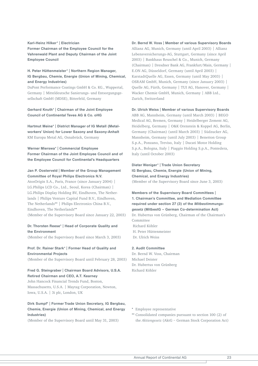#### Karl-Heinz Hilker\* | Electrician

Former Chairman of the Employee Council for the Vahrenwald Plant and Deputy Chairman of the Joint Employee Council

### H. Peter Hüttenmeister\* | Northern Region Manager, IG Bergbau, Chemie, Energie (Union of Mining, Chemical, and Energy Industries)

DuPont Performance Coatings GmbH & Co. KG., Wuppertal, Germany | Mitteldeutsche Sanierungs- und Entsorgungsgesellschaft GmbH (MDSE), Bitterfeld, Germany

### Gerhard Knuth\* | Chairman of the Joint Employee Council of Continental Teves AG & Co. oHG

Hartmut Meine\* | District Manager of IG Metall (Metalworkers' Union) for Lower Saxony and Saxony-Anhalt KM Europa Metal AG, Osnabrück, Germany

Werner Mierswa\* | Commercial Employee Former Chairman of the Joint Employee Council and of the Employee Council for Continental's Headquarters

### Jan P. Oosterveld | Member of the Group Management Committee of Royal Philips Electronics N.V.

AtosOrigin S.A., Paris, France (since January 2004) | LG.Philips LCD Co., Ltd., Seoul, Korea (Chairman) | LG.Philips Display Holding BV, Eindhoven, The Netherlands | Philips Venture Capital Fund B.V., Eindhoven, The Netherlands\*\* | Philips Electronics China B.V., Eindhoven, The Netherlands\*\* (Member of the Supervisory Board since January 22, 2003)

### Dr. Thorsten Reese\* | Head of Corporate Quality and the Environment

(Member of the Supervisory Board since March 3, 2003)

### Prof. Dr. Rainer Stark\* | Former Head of Quality and Environmental Projects

(Member of the Supervisory Board until February 28, 2003)

#### Fred G. Steingraber | Chairman Board Advisors, U.S.A. Retired Chairman and CEO, A.T. Kearney

John Hancock Financial Trends Fund, Boston, Massachusetts, U.S.A. | Maytag Corporation, Newton, Iowa, U.S.A. | 3i plc, London, UK

### Dirk Sumpf\* | Former Trade Union Secretary, IG Bergbau, Chemie, Energie (Union of Mining, Chemical, and Energy Industries)

(Member of the Supervisory Board until May 31, 2003)

#### Dr. Bernd W. Voss | Member of various Supervisory Boards

Allianz AG, Munich, Germany (until April 2003) | Allianz Lebensversicherungs-AG, Stuttgart, Germany (since April 2003) | Bankhaus Reuschel & Co., Munich, Germany (Chairman) | Dresdner Bank AG, Frankfurt/Main, Germany | E.ON AG, Düsseldorf, Germany (until April 2003) | KarstadtQuelle AG, Essen, Germany (until May 2003) | OSRAM GmbH, Munich, Germany (since January 2003) | Quelle AG, Fürth, Germany | TUI AG, Hanover, Germany | Wacker Chemie GmbH, Munich, Germany | ABB Ltd., Zurich, Switzerland

#### Dr. Ulrich Weiss | Member of various Supervisory Boards

ABB AG, Mannheim, Germany (until March 2003) | BEGO Medical AG, Bremen, Germany | Heidelberger Zement AG, Heidelberg, Germany | O&K Orenstein & Koppel AG, Berlin, Germany (Chairman) (until March 2003) | Südzucker AG, Mannheim, Germany (until July 2003) | Benetton Group S.p.A., Ponzano, Treviso, Italy | Ducati Motor Holding S.p.A., Bologna, Italy | Piaggio Holding S.p.A., Pontedera, Italy (until October 2003)

### Dieter Weniger\* | Trade Union Secretary IG Bergbau, Chemie, Energie (Union of Mining, Chemical, and Energy Industries)

(Member of the Supervisory Board since June 3, 2003)

Members of the Supervisory Board Committees | 1. Chairman's Committee, and Mediation Committee required under section 27 (3) of the *Mitbestimmungsgesetz* (MitbestG – German Co-determination Act) Dr. Hubertus von Grünberg, Chairman of the Chairman's Committee Richard Köhler H. Peter Hüttenmeister Dr. Ulrich Weiss

#### 2. Audit Committee

Dr. Bernd W. Voss, Chairman Michael Deister Dr. Hubertus von Grünberg Richard Köhler

- \* Employee representative
- \*\* Consolidated companies pursuant to section 100 (2) of the *Aktiengesetz* (AktG – German Stock Corporation Act)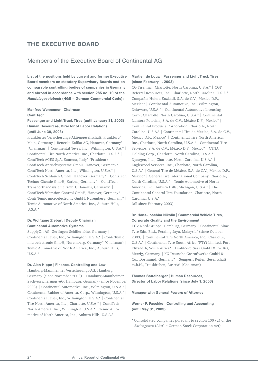## THE EXECUTIVE BOARD

### Members of the Executive Board of Continental AG

List of the positions held by current and former Executive Board members on statutory Supervisory Boards and on comparable controlling bodies of companies in Germany and abroad in accordance with section 285 no. 10 of the *Handelsgesetzbuch* (HGB – German Commercial Code):

### Manfred Wennemer | Chairman **ContiTech**

### Passenger and Light Truck Tires (until January 31, 2003) Human Resources, Director of Labor Relations (until June 30, 2003)

Frankfurter Versicherungs-Aktiengesellschaft, Frankfurt/ Main, Germany | Benecke-Kaliko AG, Hanover, Germany\* (Chairman) | Continental Teves, Inc., Wilmington, U.S.A.\* | Continental Tire North America, Inc., Charlotte, U.S.A.\* | ContiTech AGES SpA, Santena, Italy\* (President) | ContiTech Antriebssysteme GmbH, Hanover, Germany\* | ContiTech North America, Inc., Wilmington, U.S.A.\* | ContiTech Schlauch GmbH, Hanover, Germany\* | ContiTech Techno-Chemie GmbH, Karben, Germany\* | ContiTech Transportbandsysteme GmbH, Hanover, Germany\* | ContiTech Vibration Control GmbH, Hanover, Germany\* | Conti Temic microelectronic GmbH, Nuremberg, Germany\* | Temic Automotive of North America, Inc., Auburn Hills, U.S.A.\*

### Dr. Wolfgang Ziebart | Deputy Chairman Continental Automotive Systems

SupplyOn AG, Gerlingen-Schillerhöhe, Germany | Continental Teves, Inc., Wilmington, U.S.A.\* | Conti Temic microelectronic GmbH, Nuremberg, Germany\* (Chairman) | Temic Automotive of North America, Inc., Auburn Hills, U.S.A.\*

#### Dr. Alan Hippe | Finance, Controlling and Law

Hamburg-Mannheimer Versicherungs-AG, Hamburg Germany (since November 2003) | Hamburg-Mannheimer Sachversicherungs-AG, Hamburg, Germany (since November 2003) | Continental Automotive, Inc., Wilmington, U.S.A.\* | Continental Rubber of America, Corp., Wilmington, U.S.A.\* | Continental Teves, Inc., Wilmington, U.S.A.\* | Continental Tire North America, Inc., Charlotte, U.S.A.\* | ContiTech North America, Inc., Wilmington, U.S.A.\* | Temic Automotive of North America, Inc., Auburn Hills, U.S.A.\*

### Martien de Louw | Passenger and Light Truck Tires (since February 1, 2003)

CG Tire, Inc., Charlotte, North Carolina, U.S.A.\* | CGT Referral Resources, Inc., Charlotte, North Carolina, U.S.A.\* | Compañía Hulera Euzkadi, S.A. de C.V., México D.F., Mexico\* | Continental Automotive, Inc., Wilmington, Delaware, U.S.A.\* | Continental Automotive Licensing Corp., Charlotte, North Carolina, U.S.A.\* | Continental Llantera Potosina, S.A. de C.V., México D.F., Mexico\* | Continental Products Corporation, Charlotte, North Carolina, U.S.A.\* | Continental Tire de México, S.A. de C.V., México D.F., Mexico\* | Continental Tire North America, Inc., Charlotte, North Carolina, U.S.A.\* | Continental Tire Servicios, S.A. de C.V., México D.F., Mexico\* | CTNA Holding Corp., Charlotte, North Carolina, U.S.A.\* | Dynagen, Inc., Charlotte, North Carolina, U.S.A.\* | Englewood Services, Inc., Charlotte, North Carolina, U.S.A.\* | General Tire de México, S.A. de C.V., México D.F., Mexico\* | General Tire International Company, Charlotte, North Carolina, U.S.A.\* | Temic Automotive of North America, Inc., Auburn Hills, Michigan, U.S.A.\* | The Continental General Tire Foundation, Charlotte, North Carolina, U.S.A.\*

(all since February 2003)

### Dr. Hans-Joachim Nikolin | Commercial Vehicle Tires, Corporate Quality and the Environment

TÜV Nord-Gruppe, Hamburg, Germany | Continental Sime Tyre Sdn. Bhd., Petaling Jaya, Malaysia\* (since October 2003) | Continental Tire North America, Inc., Charlotte, U.S.A.\* | Continental Tyre South Africa (PTY) Limited, Port Elizabeth, South Africa\* | Drahtcord Saar GmbH & Co. KG, Merzig, Germany | KG Deutsche Gasrußwerke GmbH & Co., Dortmund, Germany\* | Semperit Reifen Gesellschaft m.b.H., Traiskirchen, Austria\* (Chairman)

Thomas Sattelberger | Human Resources, Director of Labor Relations (since July 1, 2003)

Manager with General Powers of Attorney

### Werner P. Paschke | Controlling and Accounting (until May 31, 2003)

\* Consolidated companies pursuant to section 100 (2) of the *Aktiengesetz* (AktG – German Stock Corporation Act)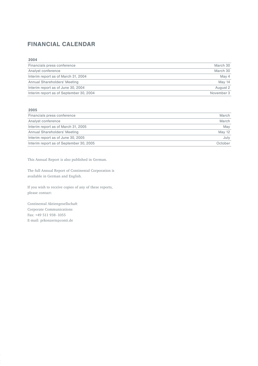## FINANCIAL CALENDAR

| 2004                                    |            |
|-----------------------------------------|------------|
| Financials press conference             | March 30   |
| Analyst conference                      | March 30   |
| Interim report as of March 31, 2004     | May 4      |
| Annual Shareholders' Meeting            | May 14     |
| Interim report as of June 30, 2004      | August 2   |
| Interim report as of September 30, 2004 | November 3 |

| ٧ | $\sim$ | $-$ |  |
|---|--------|-----|--|
|   |        |     |  |

| Financials press conference             | March   |
|-----------------------------------------|---------|
| Analyst conference                      | March   |
| Interim report as of March 31, 2005     | May     |
| Annual Shareholders' Meeting            | May 12  |
| Interim report as of June 30, 2005      | July    |
| Interim report as of September 30, 2005 | October |
|                                         |         |

This Annual Report is also published in German.

The full Annual Report of Continental Corporation is available in German and English.

If you wish to receive copies of any of these reports, please contact:

Continental Aktiengesellschaft Corporate Communications Fax: +49 511 938 -1055 E-mail: prkonzern@conti.de